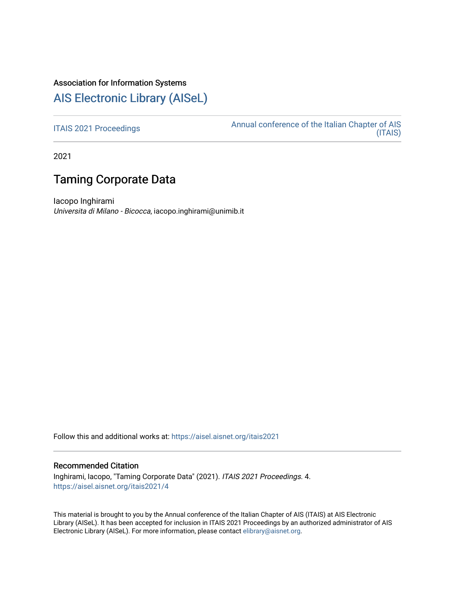# Association for Information Systems

# [AIS Electronic Library \(AISeL\)](https://aisel.aisnet.org/)

[ITAIS 2021 Proceedings](https://aisel.aisnet.org/itais2021) **Annual conference of the Italian Chapter of AIS** [\(ITAIS\)](https://aisel.aisnet.org/itais) 

2021

# Taming Corporate Data

Iacopo Inghirami Universita di Milano - Bicocca, iacopo.inghirami@unimib.it

Follow this and additional works at: [https://aisel.aisnet.org/itais2021](https://aisel.aisnet.org/itais2021?utm_source=aisel.aisnet.org%2Fitais2021%2F4&utm_medium=PDF&utm_campaign=PDFCoverPages)

## Recommended Citation

Inghirami, Iacopo, "Taming Corporate Data" (2021). ITAIS 2021 Proceedings. 4. [https://aisel.aisnet.org/itais2021/4](https://aisel.aisnet.org/itais2021/4?utm_source=aisel.aisnet.org%2Fitais2021%2F4&utm_medium=PDF&utm_campaign=PDFCoverPages)

This material is brought to you by the Annual conference of the Italian Chapter of AIS (ITAIS) at AIS Electronic Library (AISeL). It has been accepted for inclusion in ITAIS 2021 Proceedings by an authorized administrator of AIS Electronic Library (AISeL). For more information, please contact [elibrary@aisnet.org.](mailto:elibrary@aisnet.org%3E)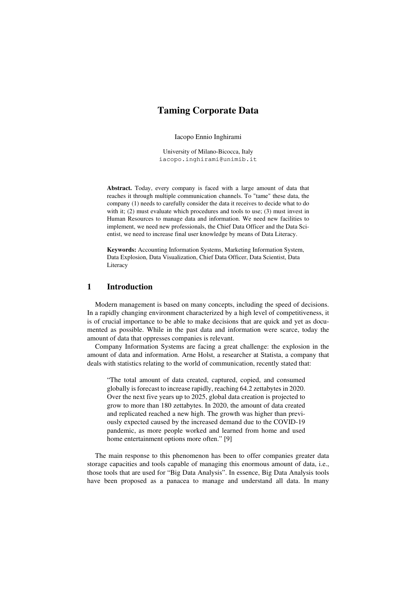# **Taming Corporate Data**

Iacopo Ennio Inghirami

University of Milano-Bicocca, Italy iacopo.inghirami@unimib.it

**Abstract.** Today, every company is faced with a large amount of data that reaches it through multiple communication channels. To "tame" these data, the company (1) needs to carefully consider the data it receives to decide what to do with it; (2) must evaluate which procedures and tools to use; (3) must invest in Human Resources to manage data and information. We need new facilities to implement, we need new professionals, the Chief Data Officer and the Data Scientist, we need to increase final user knowledge by means of Data Literacy.

**Keywords:** Accounting Information Systems, Marketing Information System, Data Explosion, Data Visualization, Chief Data Officer, Data Scientist, Data Literacy

### **1 Introduction**

Modern management is based on many concepts, including the speed of decisions. In a rapidly changing environment characterized by a high level of competitiveness, it is of crucial importance to be able to make decisions that are quick and yet as documented as possible. While in the past data and information were scarce, today the amount of data that oppresses companies is relevant.

Company Information Systems are facing a great challenge: the explosion in the amount of data and information. Arne Holst, a researcher at Statista, a company that deals with statistics relating to the world of communication, recently stated that:

"The total amount of data created, captured, copied, and consumed globally is forecast to increase rapidly, reaching 64.2 zettabytes in 2020. Over the next five years up to 2025, global data creation is projected to grow to more than 180 zettabytes. In 2020, the amount of data created and replicated reached a new high. The growth was higher than previously expected caused by the increased demand due to the COVID-19 pandemic, as more people worked and learned from home and used home entertainment options more often." [9]

The main response to this phenomenon has been to offer companies greater data storage capacities and tools capable of managing this enormous amount of data, i.e., those tools that are used for "Big Data Analysis". In essence, Big Data Analysis tools have been proposed as a panacea to manage and understand all data. In many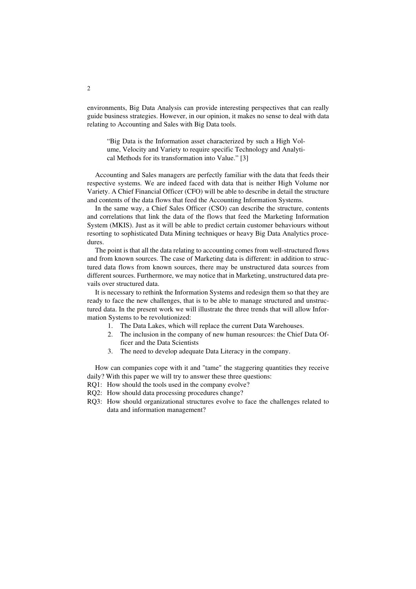environments, Big Data Analysis can provide interesting perspectives that can really guide business strategies. However, in our opinion, it makes no sense to deal with data relating to Accounting and Sales with Big Data tools.

"Big Data is the Information asset characterized by such a High Volume, Velocity and Variety to require specific Technology and Analytical Methods for its transformation into Value." [3]

Accounting and Sales managers are perfectly familiar with the data that feeds their respective systems. We are indeed faced with data that is neither High Volume nor Variety. A Chief Financial Officer (CFO) will be able to describe in detail the structure and contents of the data flows that feed the Accounting Information Systems.

In the same way, a Chief Sales Officer (CSO) can describe the structure, contents and correlations that link the data of the flows that feed the Marketing Information System (MKIS). Just as it will be able to predict certain customer behaviours without resorting to sophisticated Data Mining techniques or heavy Big Data Analytics procedures.

The point is that all the data relating to accounting comes from well-structured flows and from known sources. The case of Marketing data is different: in addition to structured data flows from known sources, there may be unstructured data sources from different sources. Furthermore, we may notice that in Marketing, unstructured data prevails over structured data.

It is necessary to rethink the Information Systems and redesign them so that they are ready to face the new challenges, that is to be able to manage structured and unstructured data. In the present work we will illustrate the three trends that will allow Information Systems to be revolutionized:

- 1. The Data Lakes, which will replace the current Data Warehouses.
- 2. The inclusion in the company of new human resources: the Chief Data Officer and the Data Scientists
- 3. The need to develop adequate Data Literacy in the company.

How can companies cope with it and "tame" the staggering quantities they receive daily? With this paper we will try to answer these three questions:

- RQ1: How should the tools used in the company evolve?
- RQ2: How should data processing procedures change?
- RQ3: How should organizational structures evolve to face the challenges related to data and information management?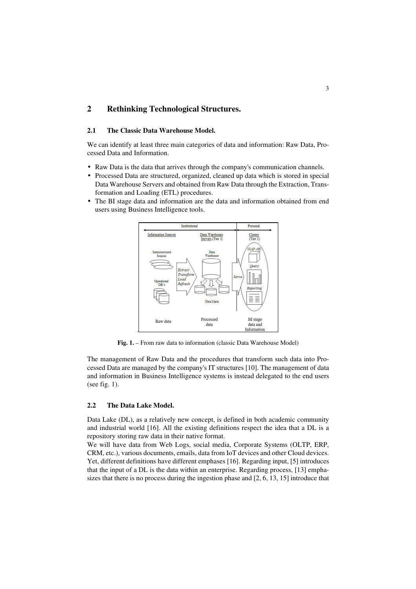## **2 Rethinking Technological Structures.**

#### **2.1 The Classic Data Warehouse Model.**

We can identify at least three main categories of data and information: Raw Data, Processed Data and Information.

- Raw Data is the data that arrives through the company's communication channels.
- Processed Data are structured, organized, cleaned up data which is stored in special Data Warehouse Servers and obtained from Raw Data through the Extraction, Transformation and Loading (ETL) procedures.
- The BI stage data and information are the data and information obtained from end users using Business Intelligence tools.



**Fig. 1.** – From raw data to information (classic Data Warehouse Model)

The management of Raw Data and the procedures that transform such data into Processed Data are managed by the company's IT structures [10]. The management of data and information in Business Intelligence systems is instead delegated to the end users (see fig. 1).

#### **2.2 The Data Lake Model.**

Data Lake (DL), as a relatively new concept, is defined in both academic community and industrial world [16]. All the existing definitions respect the idea that a DL is a repository storing raw data in their native format.

We will have data from Web Logs, social media, Corporate Systems (OLTP, ERP, CRM, etc.), various documents, emails, data from IoT devices and other Cloud devices. Yet, different definitions have different emphases [16]. Regarding input, [5] introduces that the input of a DL is the data within an enterprise. Regarding process, [13] emphasizes that there is no process during the ingestion phase and [2, 6, 13, 15] introduce that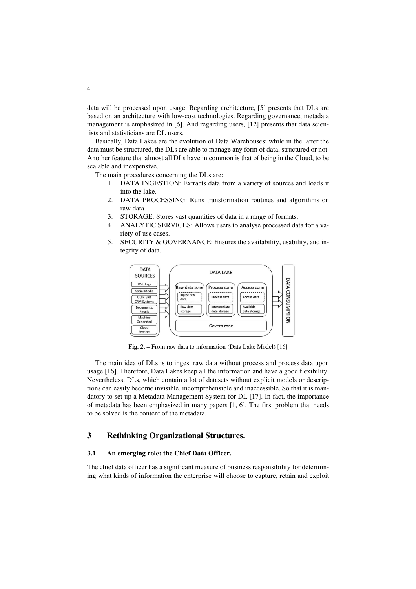data will be processed upon usage. Regarding architecture, [5] presents that DLs are based on an architecture with low-cost technologies. Regarding governance, metadata management is emphasized in [6]. And regarding users, [12] presents that data scientists and statisticians are DL users.

Basically, Data Lakes are the evolution of Data Warehouses: while in the latter the data must be structured, the DLs are able to manage any form of data, structured or not. Another feature that almost all DLs have in common is that of being in the Cloud, to be scalable and inexpensive.

The main procedures concerning the DLs are:

- 1. DATA INGESTION: Extracts data from a variety of sources and loads it into the lake.
- 2. DATA PROCESSING: Runs transformation routines and algorithms on raw data.
- 3. STORAGE: Stores vast quantities of data in a range of formats.
- 4. ANALYTIC SERVICES: Allows users to analyse processed data for a variety of use cases.
- 5. SECURITY & GOVERNANCE: Ensures the availability, usability, and integrity of data.



**Fig. 2.** – From raw data to information (Data Lake Model) [16]

The main idea of DLs is to ingest raw data without process and process data upon usage [16]. Therefore, Data Lakes keep all the information and have a good flexibility. Nevertheless, DLs, which contain a lot of datasets without explicit models or descriptions can easily become invisible, incomprehensible and inaccessible. So that it is mandatory to set up a Metadata Management System for DL [17]. In fact, the importance of metadata has been emphasized in many papers [1, 6]. The first problem that needs to be solved is the content of the metadata.

# **3 Rethinking Organizational Structures.**

#### **3.1 An emerging role: the Chief Data Officer.**

The chief data officer has a significant measure of business responsibility for determining what kinds of information the enterprise will choose to capture, retain and exploit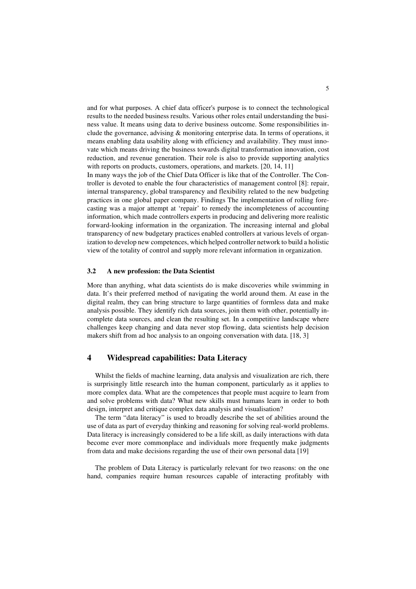and for what purposes. A chief data officer's purpose is to connect the technological results to the needed business results. Various other roles entail understanding the business value. It means using data to derive business outcome. Some responsibilities include the governance, advising & monitoring enterprise data. In terms of operations, it means enabling data usability along with efficiency and availability. They must innovate which means driving the business towards digital transformation innovation, cost reduction, and revenue generation. Their role is also to provide supporting analytics with reports on products, customers, operations, and markets. [20, 14, 11]

In many ways the job of the Chief Data Officer is like that of the Controller. The Controller is devoted to enable the four characteristics of management control [8]: repair, internal transparency, global transparency and flexibility related to the new budgeting practices in one global paper company. Findings The implementation of rolling forecasting was a major attempt at 'repair' to remedy the incompleteness of accounting information, which made controllers experts in producing and delivering more realistic forward-looking information in the organization. The increasing internal and global transparency of new budgetary practices enabled controllers at various levels of organization to develop new competences, which helped controller network to build a holistic view of the totality of control and supply more relevant information in organization.

#### **3.2 A new profession: the Data Scientist**

More than anything, what data scientists do is make discoveries while swimming in data. It's their preferred method of navigating the world around them. At ease in the digital realm, they can bring structure to large quantities of formless data and make analysis possible. They identify rich data sources, join them with other, potentially incomplete data sources, and clean the resulting set. In a competitive landscape where challenges keep changing and data never stop flowing, data scientists help decision makers shift from ad hoc analysis to an ongoing conversation with data. [18, 3]

### **4 Widespread capabilities: Data Literacy**

Whilst the fields of machine learning, data analysis and visualization are rich, there is surprisingly little research into the human component, particularly as it applies to more complex data. What are the competences that people must acquire to learn from and solve problems with data? What new skills must humans learn in order to both design, interpret and critique complex data analysis and visualisation?

The term "data literacy" is used to broadly describe the set of abilities around the use of data as part of everyday thinking and reasoning for solving real-world problems. Data literacy is increasingly considered to be a life skill, as daily interactions with data become ever more commonplace and individuals more frequently make judgments from data and make decisions regarding the use of their own personal data [19]

The problem of Data Literacy is particularly relevant for two reasons: on the one hand, companies require human resources capable of interacting profitably with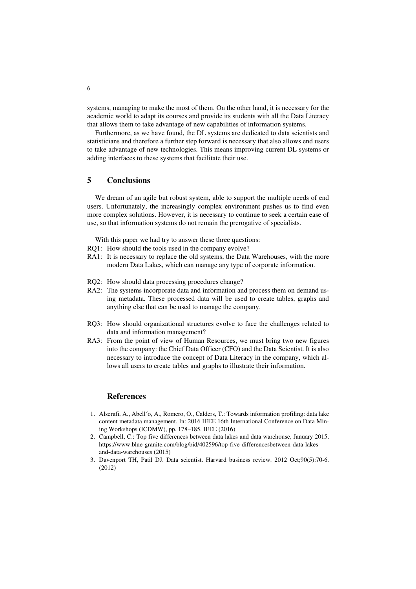systems, managing to make the most of them. On the other hand, it is necessary for the academic world to adapt its courses and provide its students with all the Data Literacy that allows them to take advantage of new capabilities of information systems.

Furthermore, as we have found, the DL systems are dedicated to data scientists and statisticians and therefore a further step forward is necessary that also allows end users to take advantage of new technologies. This means improving current DL systems or adding interfaces to these systems that facilitate their use.

## **5 Conclusions**

We dream of an agile but robust system, able to support the multiple needs of end users. Unfortunately, the increasingly complex environment pushes us to find even more complex solutions. However, it is necessary to continue to seek a certain ease of use, so that information systems do not remain the prerogative of specialists.

With this paper we had try to answer these three questions:

- RQ1: How should the tools used in the company evolve?
- RA1: It is necessary to replace the old systems, the Data Warehouses, with the more modern Data Lakes, which can manage any type of corporate information.
- RQ2: How should data processing procedures change?
- RA2: The systems incorporate data and information and process them on demand using metadata. These processed data will be used to create tables, graphs and anything else that can be used to manage the company.
- RQ3: How should organizational structures evolve to face the challenges related to data and information management?
- RA3: From the point of view of Human Resources, we must bring two new figures into the company: the Chief Data Officer (CFO) and the Data Scientist. It is also necessary to introduce the concept of Data Literacy in the company, which allows all users to create tables and graphs to illustrate their information.

#### **References**

- 1. Alserafi, A., Abell´o, A., Romero, O., Calders, T.: Towards information profiling: data lake content metadata management. In: 2016 IEEE 16th International Conference on Data Mining Workshops (ICDMW), pp. 178–185. IEEE (2016)
- 2. Campbell, C.: Top five differences between data lakes and data warehouse, January 2015. https://www.blue-granite.com/blog/bid/402596/top-five-differencesbetween-data-lakesand-data-warehouses (2015)
- 3. Davenport TH, Patil DJ. Data scientist. Harvard business review. 2012 Oct;90(5):70-6. (2012)